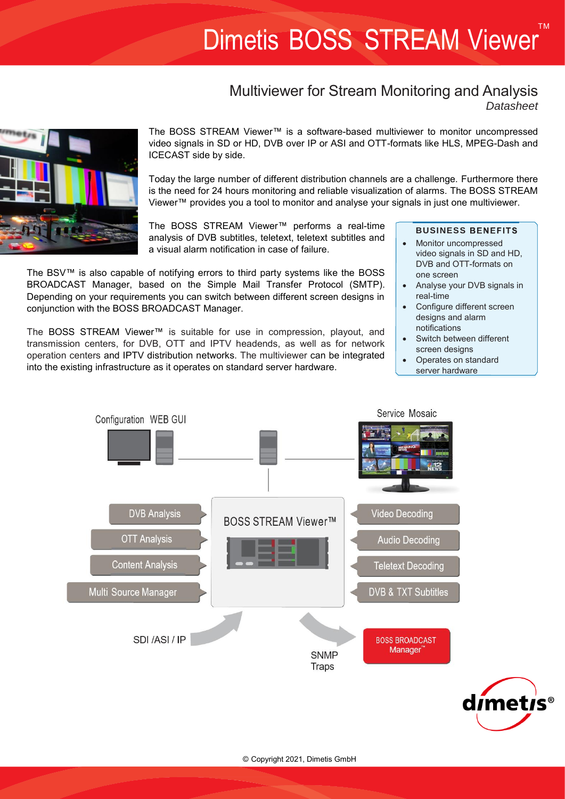# TM Dimetis BOSS STREAM Viewer

# Multiviewer for Stream Monitoring and Analysis *Datasheet*



The BOSS STREAM Viewer™ is a software-based multiviewer to monitor uncompressed video signals in SD or HD, DVB over IP or ASI and OTT-formats like HLS, MPEG-Dash and ICECAST side by side.

Today the large number of different distribution channels are a challenge. Furthermore there is the need for 24 hours monitoring and reliable visualization of alarms. The BOSS STREAM Viewer™ provides you a tool to monitor and analyse your signals in just one multiviewer.

The BOSS STREAM Viewer™ performs a real-time analysis of DVB subtitles, teletext, teletext subtitles and a visual alarm notification in case of failure.

The BSV™ is also capable of notifying errors to third party systems like the BOSS BROADCAST Manager, based on the Simple Mail Transfer Protocol (SMTP). Depending on your requirements you can switch between different screen designs in conjunction with the BOSS BROADCAST Manager.

The BOSS STREAM Viewer™ is suitable for use in compression, playout, and transmission centers, for DVB, OTT and IPTV headends, as well as for network operation centers and IPTV distribution networks. The multiviewer can be integrated into the existing infrastructure as it operates on standard server hardware.

# **BUSINESS BENEFITS**

- Monitor uncompressed video signals in SD and HD, DVB and OTT-formats on one screen
- Analyse your DVB signals in real-time
- Configure different screen designs and alarm notifications
- Switch between different screen designs
- Operates on standard server hardware